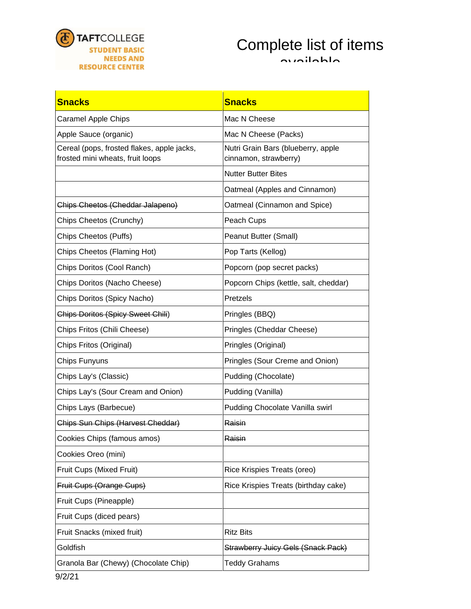

## Complete list of items available

| <b>Snacks</b>                                                                  | <b>Snacks</b>                                               |  |
|--------------------------------------------------------------------------------|-------------------------------------------------------------|--|
| <b>Caramel Apple Chips</b>                                                     | Mac N Cheese                                                |  |
| Apple Sauce (organic)                                                          | Mac N Cheese (Packs)                                        |  |
| Cereal (pops, frosted flakes, apple jacks,<br>frosted mini wheats, fruit loops | Nutri Grain Bars (blueberry, apple<br>cinnamon, strawberry) |  |
|                                                                                | <b>Nutter Butter Bites</b>                                  |  |
|                                                                                | Oatmeal (Apples and Cinnamon)                               |  |
| Chips Cheetos (Cheddar Jalapeno)                                               | Oatmeal (Cinnamon and Spice)                                |  |
| Chips Cheetos (Crunchy)                                                        | Peach Cups                                                  |  |
| Chips Cheetos (Puffs)                                                          | Peanut Butter (Small)                                       |  |
| Chips Cheetos (Flaming Hot)                                                    | Pop Tarts (Kellog)                                          |  |
| Chips Doritos (Cool Ranch)                                                     | Popcorn (pop secret packs)                                  |  |
| Chips Doritos (Nacho Cheese)                                                   | Popcorn Chips (kettle, salt, cheddar)                       |  |
| Chips Doritos (Spicy Nacho)                                                    | Pretzels                                                    |  |
| <b>Chips Doritos (Spicy Sweet Chili)</b>                                       | Pringles (BBQ)                                              |  |
| Chips Fritos (Chili Cheese)                                                    | Pringles (Cheddar Cheese)                                   |  |
| Chips Fritos (Original)                                                        | Pringles (Original)                                         |  |
| Chips Funyuns                                                                  | Pringles (Sour Creme and Onion)                             |  |
| Chips Lay's (Classic)                                                          | Pudding (Chocolate)                                         |  |
| Chips Lay's (Sour Cream and Onion)                                             | Pudding (Vanilla)                                           |  |
| Chips Lays (Barbecue)                                                          | Pudding Chocolate Vanilla swirl                             |  |
| Chips Sun Chips (Harvest Cheddar)                                              | Raisin                                                      |  |
| Cookies Chips (famous amos)                                                    | <b>Kaisin</b>                                               |  |
| Cookies Oreo (mini)                                                            |                                                             |  |
| Fruit Cups (Mixed Fruit)                                                       | Rice Krispies Treats (oreo)                                 |  |
| Fruit Cups (Orange Cups)                                                       | Rice Krispies Treats (birthday cake)                        |  |
| Fruit Cups (Pineapple)                                                         |                                                             |  |
| Fruit Cups (diced pears)                                                       |                                                             |  |
| Fruit Snacks (mixed fruit)                                                     | <b>Ritz Bits</b>                                            |  |
| Goldfish                                                                       | <b>Strawberry Juicy Gels (Snack Pack)</b>                   |  |
| Granola Bar (Chewy) (Chocolate Chip)                                           | <b>Teddy Grahams</b>                                        |  |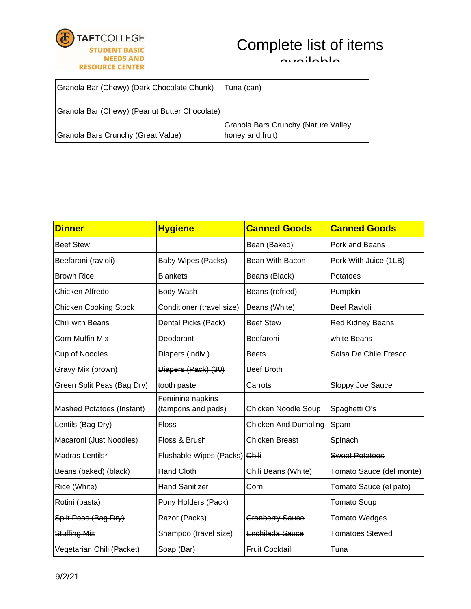

## Complete list of items

available

| Granola Bar (Chewy) (Dark Chocolate Chunk)    | Tuna (can)                                              |
|-----------------------------------------------|---------------------------------------------------------|
| Granola Bar (Chewy) (Peanut Butter Chocolate) |                                                         |
| Granola Bars Crunchy (Great Value)            | Granola Bars Crunchy (Nature Valley<br>honey and fruit) |

| <b>Dinner</b>                | <b>Hygiene</b>                         | <b>Canned Goods</b>         | <b>Canned Goods</b>      |
|------------------------------|----------------------------------------|-----------------------------|--------------------------|
| Beef Stew                    |                                        | Bean (Baked)                | Pork and Beans           |
| Beefaroni (ravioli)          | Baby Wipes (Packs)                     | Bean With Bacon             | Pork With Juice (1LB)    |
| <b>Brown Rice</b>            | <b>Blankets</b>                        | Beans (Black)               | Potatoes                 |
| Chicken Alfredo              | Body Wash                              | Beans (refried)             | Pumpkin                  |
| <b>Chicken Cooking Stock</b> | Conditioner (travel size)              | Beans (White)               | <b>Beef Ravioli</b>      |
| Chili with Beans             | Dental Picks (Pack)                    | <b>Beef Stew</b>            | <b>Red Kidney Beans</b>  |
| Corn Muffin Mix              | Deodorant                              | Beefaroni                   | white Beans              |
| Cup of Noodles               | Diapers (indiv.)                       | <b>Beets</b>                | Salsa De Chile Fresco    |
| Gravy Mix (brown)            | Diapers (Pack) (30)                    | <b>Beef Broth</b>           |                          |
| Green Split Peas (Bag Dry)   | tooth paste                            | Carrots                     | Sloppy Joe Sauce         |
| Mashed Potatoes (Instant)    | Feminine napkins<br>(tampons and pads) | Chicken Noodle Soup         | Spaghetti O's            |
| Lentils (Bag Dry)            | <b>Floss</b>                           | <b>Chicken And Dumpling</b> | Spam                     |
| Macaroni (Just Noodles)      | Floss & Brush                          | <b>Chicken Breast</b>       | Spinach                  |
| Madras Lentils*              | Flushable Wipes (Packs) Chili          |                             | <b>Sweet Potatoes</b>    |
| Beans (baked) (black)        | <b>Hand Cloth</b>                      | Chili Beans (White)         | Tomato Sauce (del monte) |
| Rice (White)                 | <b>Hand Sanitizer</b>                  | Corn                        | Tomato Sauce (el pato)   |
| Rotini (pasta)               | Pony Holders (Pack)                    |                             | <b>Tomato Soup</b>       |
| Split Peas (Bag Dry)         | Razor (Packs)                          | <b>Cranberry Sauce</b>      | <b>Tomato Wedges</b>     |
| <b>Stuffing Mix</b>          | Shampoo (travel size)                  | Enchilada Sauce             | <b>Tomatoes Stewed</b>   |
| Vegetarian Chili (Packet)    | Soap (Bar)                             | <b>Fruit Cocktail</b>       | Tuna                     |